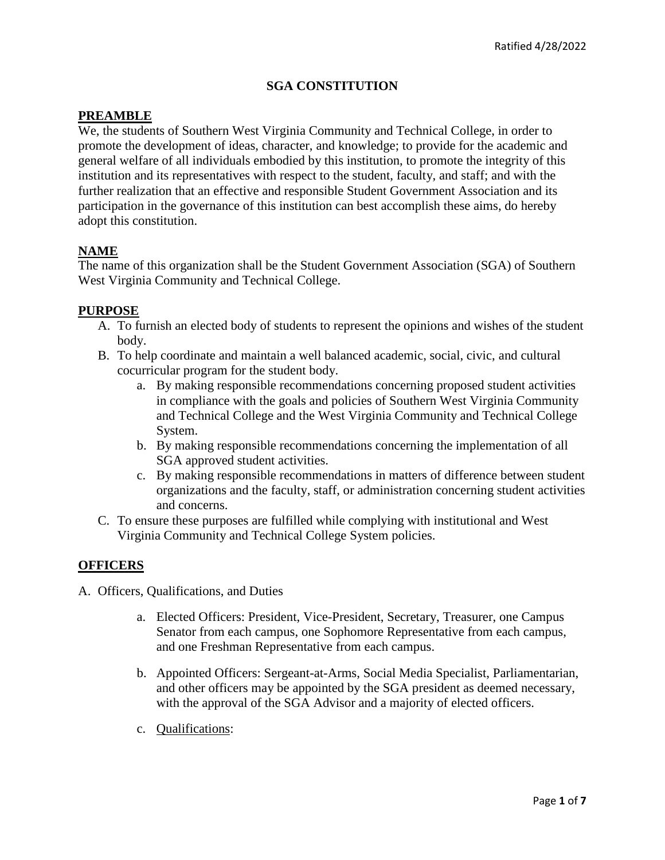# **SGA CONSTITUTION**

## **PREAMBLE**

We, the students of Southern West Virginia Community and Technical College, in order to promote the development of ideas, character, and knowledge; to provide for the academic and general welfare of all individuals embodied by this institution, to promote the integrity of this institution and its representatives with respect to the student, faculty, and staff; and with the further realization that an effective and responsible Student Government Association and its participation in the governance of this institution can best accomplish these aims, do hereby adopt this constitution.

# **NAME**

The name of this organization shall be the Student Government Association (SGA) of Southern West Virginia Community and Technical College.

### **PURPOSE**

- A. To furnish an elected body of students to represent the opinions and wishes of the student body.
- B. To help coordinate and maintain a well balanced academic, social, civic, and cultural cocurricular program for the student body.
	- a. By making responsible recommendations concerning proposed student activities in compliance with the goals and policies of Southern West Virginia Community and Technical College and the West Virginia Community and Technical College System.
	- b. By making responsible recommendations concerning the implementation of all SGA approved student activities.
	- c. By making responsible recommendations in matters of difference between student organizations and the faculty, staff, or administration concerning student activities and concerns.
- C. To ensure these purposes are fulfilled while complying with institutional and West Virginia Community and Technical College System policies.

## **OFFICERS**

- A. Officers, Qualifications, and Duties
	- a. Elected Officers: President, Vice-President, Secretary, Treasurer, one Campus Senator from each campus, one Sophomore Representative from each campus, and one Freshman Representative from each campus.
	- b. Appointed Officers: Sergeant-at-Arms, Social Media Specialist, Parliamentarian, and other officers may be appointed by the SGA president as deemed necessary, with the approval of the SGA Advisor and a majority of elected officers.
	- c. Qualifications: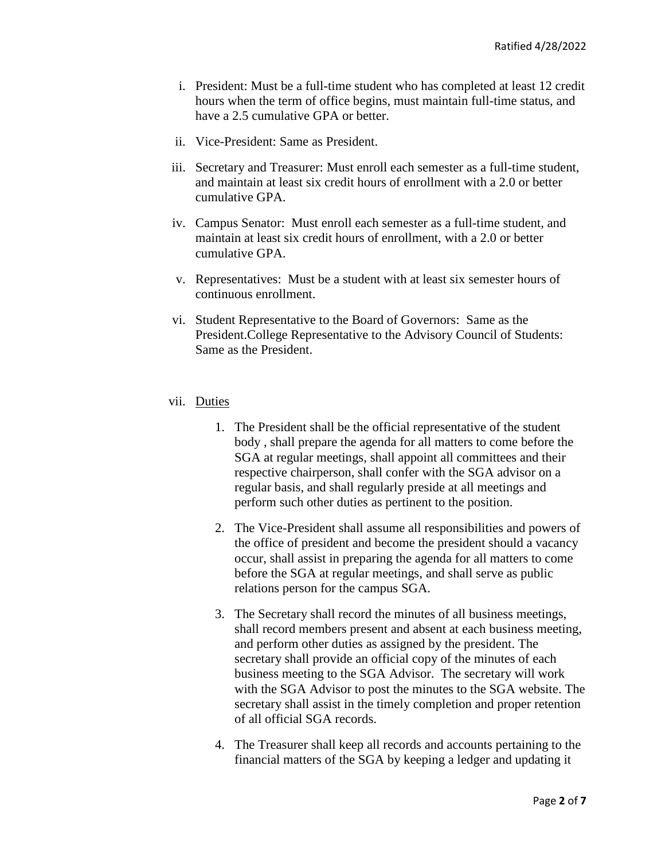- i. President: Must be a full-time student who has completed at least 12 credit hours when the term of office begins, must maintain full-time status, and have a 2.5 cumulative GPA or better.
- ii. Vice-President: Same as President.
- iii. Secretary and Treasurer: Must enroll each semester as a full-time student, and maintain at least six credit hours of enrollment with a 2.0 or better cumulative GPA.
- iv. Campus Senator: Must enroll each semester as a full-time student, and maintain at least six credit hours of enrollment, with a 2.0 or better cumulative GPA.
- v. Representatives: Must be a student with at least six semester hours of continuous enrollment.
- vi. Student Representative to the Board of Governors: Same as the President.College Representative to the Advisory Council of Students: Same as the President.

### vii. Duties

- 1. The President shall be the official representative of the student body , shall prepare the agenda for all matters to come before the SGA at regular meetings, shall appoint all committees and their respective chairperson, shall confer with the SGA advisor on a regular basis, and shall regularly preside at all meetings and perform such other duties as pertinent to the position.
- 2. The Vice-President shall assume all responsibilities and powers of the office of president and become the president should a vacancy occur, shall assist in preparing the agenda for all matters to come before the SGA at regular meetings, and shall serve as public relations person for the campus SGA.
- 3. The Secretary shall record the minutes of all business meetings, shall record members present and absent at each business meeting, and perform other duties as assigned by the president. The secretary shall provide an official copy of the minutes of each business meeting to the SGA Advisor. The secretary will work with the SGA Advisor to post the minutes to the SGA website. The secretary shall assist in the timely completion and proper retention of all official SGA records.
- 4. The Treasurer shall keep all records and accounts pertaining to the financial matters of the SGA by keeping a ledger and updating it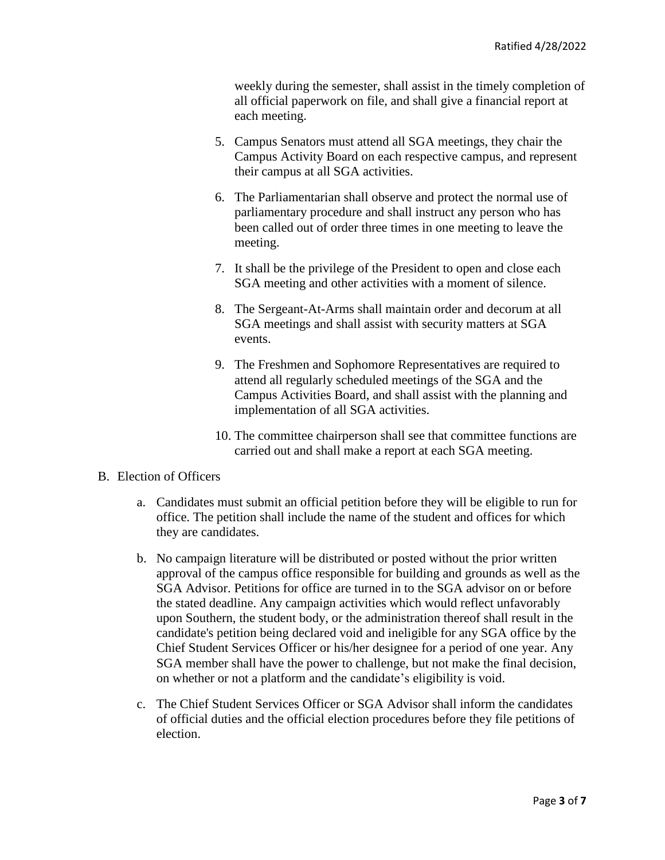weekly during the semester, shall assist in the timely completion of all official paperwork on file, and shall give a financial report at each meeting.

- 5. Campus Senators must attend all SGA meetings, they chair the Campus Activity Board on each respective campus, and represent their campus at all SGA activities.
- 6. The Parliamentarian shall observe and protect the normal use of parliamentary procedure and shall instruct any person who has been called out of order three times in one meeting to leave the meeting.
- 7. It shall be the privilege of the President to open and close each SGA meeting and other activities with a moment of silence.
- 8. The Sergeant-At-Arms shall maintain order and decorum at all SGA meetings and shall assist with security matters at SGA events.
- 9. The Freshmen and Sophomore Representatives are required to attend all regularly scheduled meetings of the SGA and the Campus Activities Board, and shall assist with the planning and implementation of all SGA activities.
- 10. The committee chairperson shall see that committee functions are carried out and shall make a report at each SGA meeting.

## B. Election of Officers

- a. Candidates must submit an official petition before they will be eligible to run for office. The petition shall include the name of the student and offices for which they are candidates.
- b. No campaign literature will be distributed or posted without the prior written approval of the campus office responsible for building and grounds as well as the SGA Advisor. Petitions for office are turned in to the SGA advisor on or before the stated deadline. Any campaign activities which would reflect unfavorably upon Southern, the student body, or the administration thereof shall result in the candidate's petition being declared void and ineligible for any SGA office by the Chief Student Services Officer or his/her designee for a period of one year. Any SGA member shall have the power to challenge, but not make the final decision, on whether or not a platform and the candidate's eligibility is void.
- c. The Chief Student Services Officer or SGA Advisor shall inform the candidates of official duties and the official election procedures before they file petitions of election.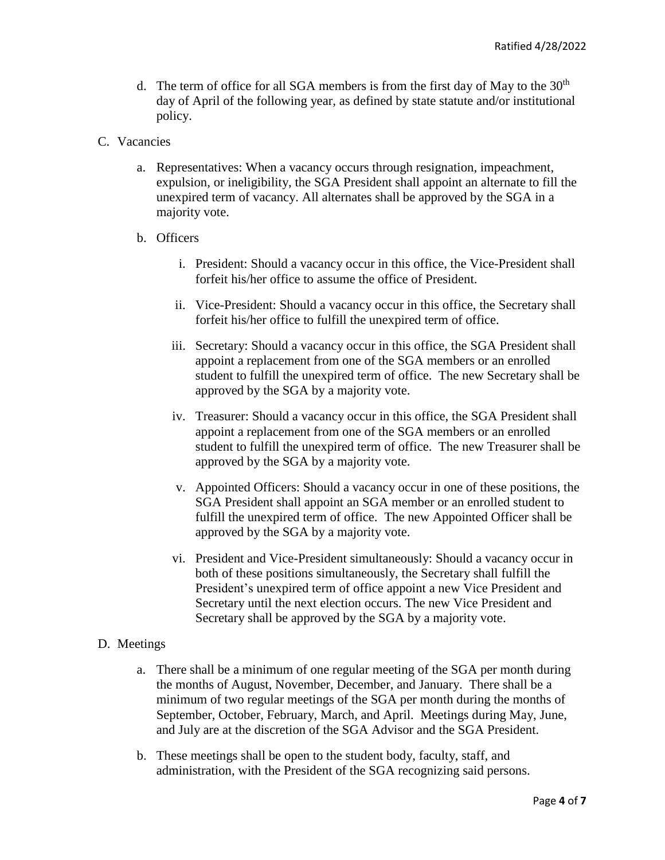- d. The term of office for all SGA members is from the first day of May to the  $30<sup>th</sup>$ day of April of the following year, as defined by state statute and/or institutional policy.
- C. Vacancies
	- a. Representatives: When a vacancy occurs through resignation, impeachment, expulsion, or ineligibility, the SGA President shall appoint an alternate to fill the unexpired term of vacancy. All alternates shall be approved by the SGA in a majority vote.
	- b. Officers
		- i. President: Should a vacancy occur in this office, the Vice-President shall forfeit his/her office to assume the office of President.
		- ii. Vice-President: Should a vacancy occur in this office, the Secretary shall forfeit his/her office to fulfill the unexpired term of office.
		- iii. Secretary: Should a vacancy occur in this office, the SGA President shall appoint a replacement from one of the SGA members or an enrolled student to fulfill the unexpired term of office. The new Secretary shall be approved by the SGA by a majority vote.
		- iv. Treasurer: Should a vacancy occur in this office, the SGA President shall appoint a replacement from one of the SGA members or an enrolled student to fulfill the unexpired term of office. The new Treasurer shall be approved by the SGA by a majority vote.
		- v. Appointed Officers: Should a vacancy occur in one of these positions, the SGA President shall appoint an SGA member or an enrolled student to fulfill the unexpired term of office. The new Appointed Officer shall be approved by the SGA by a majority vote.
		- vi. President and Vice-President simultaneously: Should a vacancy occur in both of these positions simultaneously, the Secretary shall fulfill the President's unexpired term of office appoint a new Vice President and Secretary until the next election occurs. The new Vice President and Secretary shall be approved by the SGA by a majority vote.

#### D. Meetings

- a. There shall be a minimum of one regular meeting of the SGA per month during the months of August, November, December, and January. There shall be a minimum of two regular meetings of the SGA per month during the months of September, October, February, March, and April. Meetings during May, June, and July are at the discretion of the SGA Advisor and the SGA President.
- b. These meetings shall be open to the student body, faculty, staff, and administration, with the President of the SGA recognizing said persons.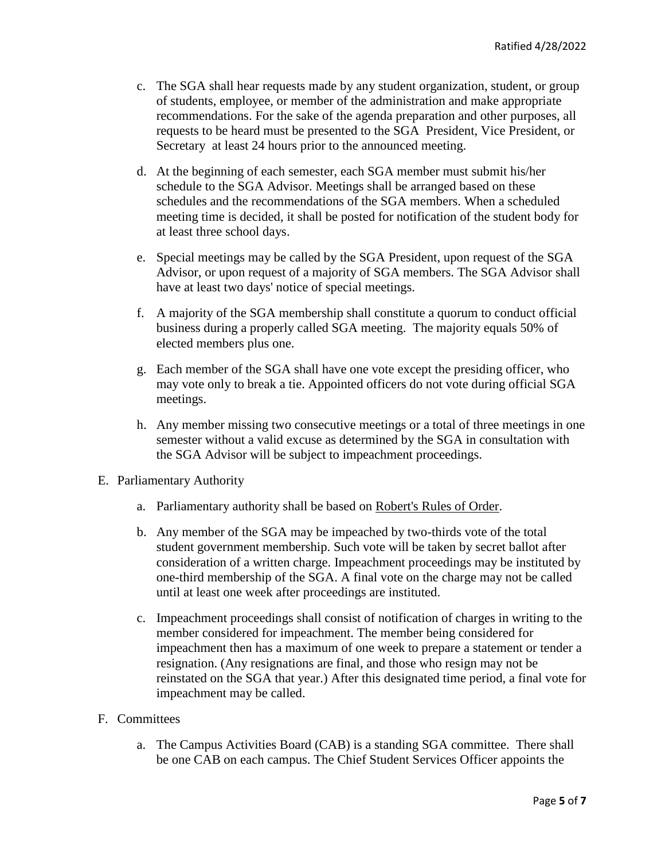- c. The SGA shall hear requests made by any student organization, student, or group of students, employee, or member of the administration and make appropriate recommendations. For the sake of the agenda preparation and other purposes, all requests to be heard must be presented to the SGA President, Vice President, or Secretary at least 24 hours prior to the announced meeting.
- d. At the beginning of each semester, each SGA member must submit his/her schedule to the SGA Advisor. Meetings shall be arranged based on these schedules and the recommendations of the SGA members. When a scheduled meeting time is decided, it shall be posted for notification of the student body for at least three school days.
- e. Special meetings may be called by the SGA President, upon request of the SGA Advisor, or upon request of a majority of SGA members. The SGA Advisor shall have at least two days' notice of special meetings.
- f. A majority of the SGA membership shall constitute a quorum to conduct official business during a properly called SGA meeting. The majority equals 50% of elected members plus one.
- g. Each member of the SGA shall have one vote except the presiding officer, who may vote only to break a tie. Appointed officers do not vote during official SGA meetings.
- h. Any member missing two consecutive meetings or a total of three meetings in one semester without a valid excuse as determined by the SGA in consultation with the SGA Advisor will be subject to impeachment proceedings.
- E. Parliamentary Authority
	- a. Parliamentary authority shall be based on Robert's Rules of Order.
	- b. Any member of the SGA may be impeached by two-thirds vote of the total student government membership. Such vote will be taken by secret ballot after consideration of a written charge. Impeachment proceedings may be instituted by one-third membership of the SGA. A final vote on the charge may not be called until at least one week after proceedings are instituted.
	- c. Impeachment proceedings shall consist of notification of charges in writing to the member considered for impeachment. The member being considered for impeachment then has a maximum of one week to prepare a statement or tender a resignation. (Any resignations are final, and those who resign may not be reinstated on the SGA that year.) After this designated time period, a final vote for impeachment may be called.

## F. Committees

a. The Campus Activities Board (CAB) is a standing SGA committee. There shall be one CAB on each campus. The Chief Student Services Officer appoints the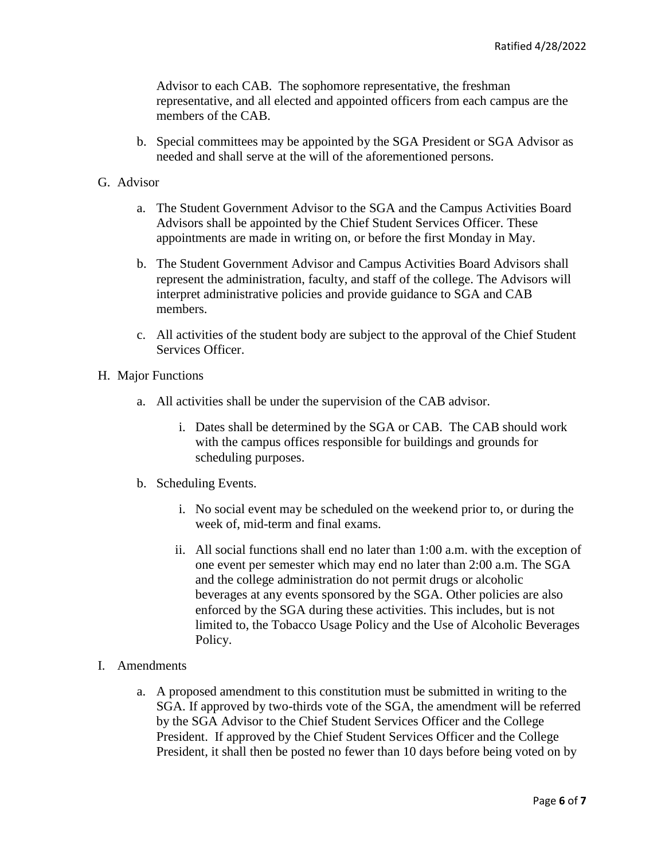Advisor to each CAB. The sophomore representative, the freshman representative, and all elected and appointed officers from each campus are the members of the CAB.

b. Special committees may be appointed by the SGA President or SGA Advisor as needed and shall serve at the will of the aforementioned persons.

### G. Advisor

- a. The Student Government Advisor to the SGA and the Campus Activities Board Advisors shall be appointed by the Chief Student Services Officer. These appointments are made in writing on, or before the first Monday in May.
- b. The Student Government Advisor and Campus Activities Board Advisors shall represent the administration, faculty, and staff of the college. The Advisors will interpret administrative policies and provide guidance to SGA and CAB members.
- c. All activities of the student body are subject to the approval of the Chief Student Services Officer.
- H. Major Functions
	- a. All activities shall be under the supervision of the CAB advisor.
		- i. Dates shall be determined by the SGA or CAB. The CAB should work with the campus offices responsible for buildings and grounds for scheduling purposes.
	- b. Scheduling Events.
		- i. No social event may be scheduled on the weekend prior to, or during the week of, mid-term and final exams.
		- ii. All social functions shall end no later than 1:00 a.m. with the exception of one event per semester which may end no later than 2:00 a.m. The SGA and the college administration do not permit drugs or alcoholic beverages at any events sponsored by the SGA. Other policies are also enforced by the SGA during these activities. This includes, but is not limited to, the Tobacco Usage Policy and the Use of Alcoholic Beverages Policy.
- I. Amendments
	- a. A proposed amendment to this constitution must be submitted in writing to the SGA. If approved by two-thirds vote of the SGA, the amendment will be referred by the SGA Advisor to the Chief Student Services Officer and the College President. If approved by the Chief Student Services Officer and the College President, it shall then be posted no fewer than 10 days before being voted on by